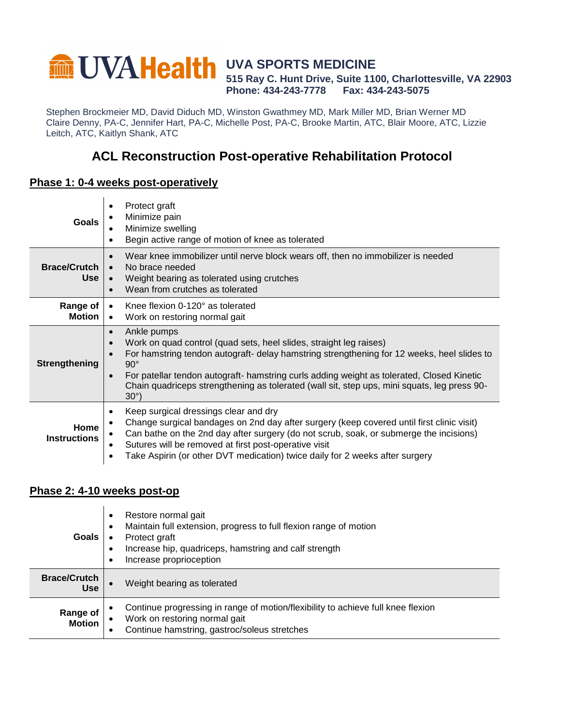#### **UVA SPORTS MEDICINE 515 Ray C. Hunt Drive, Suite 1100, Charlottesville, VA 22903 Phone: 434-243-7778 Fax: 434-243-5075**

Stephen Brockmeier MD, David Diduch MD, Winston Gwathmey MD, Mark Miller MD, Brian Werner MD Claire Denny, PA-C, Jennifer Hart, PA-C, Michelle Post, PA-C, Brooke Martin, ATC, Blair Moore, ATC, Lizzie Leitch, ATC, Kaitlyn Shank, ATC

# **ACL Reconstruction Post-operative Rehabilitation Protocol**

#### **Phase 1: 0-4 weeks post-operatively**

| Goals                        | Protect graft<br>Minimize pain<br>Minimize swelling<br>Begin active range of motion of knee as tolerated                                                                                                                                                                                                                                                                                                                            |  |  |
|------------------------------|-------------------------------------------------------------------------------------------------------------------------------------------------------------------------------------------------------------------------------------------------------------------------------------------------------------------------------------------------------------------------------------------------------------------------------------|--|--|
| <b>Brace/Crutch</b><br>Use l | Wear knee immobilizer until nerve block wears off, then no immobilizer is needed<br>$\bullet$<br>No brace needed<br>$\bullet$<br>Weight bearing as tolerated using crutches<br>$\bullet$<br>Wean from crutches as tolerated<br>$\bullet$                                                                                                                                                                                            |  |  |
| Range of<br>Motion           | Knee flexion $0-120^\circ$ as tolerated<br>$\bullet$<br>Work on restoring normal gait<br>$\bullet$                                                                                                                                                                                                                                                                                                                                  |  |  |
| <b>Strengthening</b>         | Ankle pumps<br>$\bullet$<br>Work on quad control (quad sets, heel slides, straight leg raises)<br>For hamstring tendon autograft- delay hamstring strengthening for 12 weeks, heel slides to<br>$90^\circ$<br>For patellar tendon autograft- hamstring curls adding weight as tolerated, Closed Kinetic<br>$\bullet$<br>Chain quadriceps strengthening as tolerated (wall sit, step ups, mini squats, leg press 90-<br>$30^\circ$ ) |  |  |
| Home<br><b>Instructions</b>  | Keep surgical dressings clear and dry<br>$\bullet$<br>Change surgical bandages on 2nd day after surgery (keep covered until first clinic visit)<br>Can bathe on the 2nd day after surgery (do not scrub, soak, or submerge the incisions)<br>Sutures will be removed at first post-operative visit<br>Take Aspirin (or other DVT medication) twice daily for 2 weeks after surgery<br>٠                                             |  |  |

#### **Phase 2: 4-10 weeks post-op**

| <b>Goals</b>                      | Restore normal gait<br>٠<br>Maintain full extension, progress to full flexion range of motion<br>$\bullet$<br>Protect graft<br>Increase hip, quadriceps, hamstring and calf strength<br>Increase proprioception |
|-----------------------------------|-----------------------------------------------------------------------------------------------------------------------------------------------------------------------------------------------------------------|
| <b>Brace/Crutch</b><br><b>Use</b> | Weight bearing as tolerated                                                                                                                                                                                     |
| Range of<br><b>Motion</b>         | Continue progressing in range of motion/flexibility to achieve full knee flexion<br>Work on restoring normal gait<br>Continue hamstring, gastroc/soleus stretches                                               |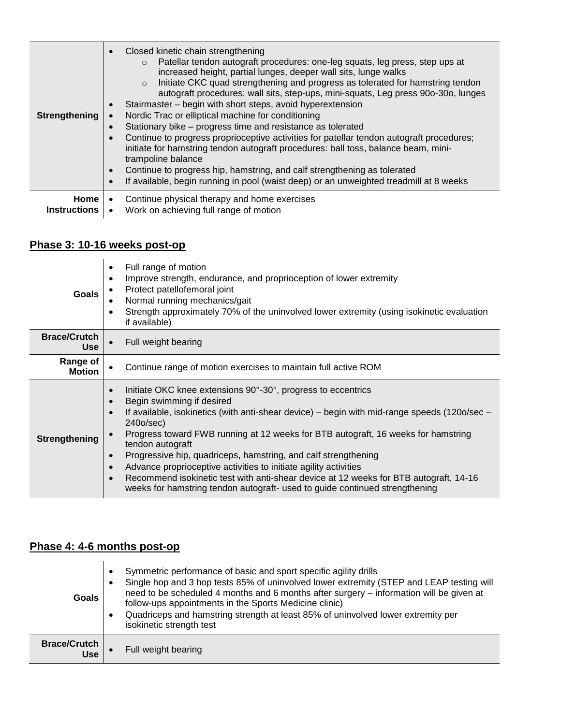| Strengthening       | Closed kinetic chain strengthening<br>Patellar tendon autograft procedures: one-leg squats, leg press, step ups at<br>$\Omega$<br>increased height, partial lunges, deeper wall sits, lunge walks<br>Initiate CKC quad strengthening and progress as tolerated for hamstring tendon<br>$\circ$<br>autograft procedures: wall sits, step-ups, mini-squats, Leg press 90o-30o, lunges<br>Stairmaster - begin with short steps, avoid hyperextension<br>Nordic Trac or elliptical machine for conditioning<br>Stationary bike – progress time and resistance as tolerated<br>Continue to progress proprioceptive activities for patellar tendon autograft procedures;<br>initiate for hamstring tendon autograft procedures: ball toss, balance beam, mini-<br>trampoline balance<br>Continue to progress hip, hamstring, and calf strengthening as tolerated<br>If available, begin running in pool (waist deep) or an unweighted treadmill at 8 weeks |  |
|---------------------|------------------------------------------------------------------------------------------------------------------------------------------------------------------------------------------------------------------------------------------------------------------------------------------------------------------------------------------------------------------------------------------------------------------------------------------------------------------------------------------------------------------------------------------------------------------------------------------------------------------------------------------------------------------------------------------------------------------------------------------------------------------------------------------------------------------------------------------------------------------------------------------------------------------------------------------------------|--|
| <b>Home</b>         | Continue physical therapy and home exercises                                                                                                                                                                                                                                                                                                                                                                                                                                                                                                                                                                                                                                                                                                                                                                                                                                                                                                         |  |
| <b>Instructions</b> | Work on achieving full range of motion                                                                                                                                                                                                                                                                                                                                                                                                                                                                                                                                                                                                                                                                                                                                                                                                                                                                                                               |  |

# **Phase 3: 10-16 weeks post-op**

| <b>Goals</b>                      | Full range of motion<br>$\bullet$<br>Improve strength, endurance, and proprioception of lower extremity<br>Protect patellofemoral joint<br>Normal running mechanics/gait<br>Strength approximately 70% of the uninvolved lower extremity (using isokinetic evaluation<br>if available)                                                                                                                                                                                                                                                                                                                                                                                            |  |  |
|-----------------------------------|-----------------------------------------------------------------------------------------------------------------------------------------------------------------------------------------------------------------------------------------------------------------------------------------------------------------------------------------------------------------------------------------------------------------------------------------------------------------------------------------------------------------------------------------------------------------------------------------------------------------------------------------------------------------------------------|--|--|
| <b>Brace/Crutch</b><br><b>Use</b> | Full weight bearing                                                                                                                                                                                                                                                                                                                                                                                                                                                                                                                                                                                                                                                               |  |  |
| Range of<br><b>Motion</b>         | Continue range of motion exercises to maintain full active ROM                                                                                                                                                                                                                                                                                                                                                                                                                                                                                                                                                                                                                    |  |  |
| <b>Strengthening</b>              | Initiate OKC knee extensions 90°-30°, progress to eccentrics<br>$\bullet$<br>Begin swimming if desired<br>$\bullet$<br>If available, isokinetics (with anti-shear device) – begin with mid-range speeds (1200/sec –<br>240o/sec)<br>Progress toward FWB running at 12 weeks for BTB autograft, 16 weeks for hamstring<br>tendon autograft<br>Progressive hip, quadriceps, hamstring, and calf strengthening<br>$\bullet$<br>Advance proprioceptive activities to initiate agility activities<br>Recommend isokinetic test with anti-shear device at 12 weeks for BTB autograft, 14-16<br>$\bullet$<br>weeks for hamstring tendon autograft- used to guide continued strengthening |  |  |

# **Phase 4: 4-6 months post-op**

| Goals                             | Symmetric performance of basic and sport specific agility drills<br>Single hop and 3 hop tests 85% of uninvolved lower extremity (STEP and LEAP testing will<br>need to be scheduled 4 months and 6 months after surgery – information will be given at<br>follow-ups appointments in the Sports Medicine clinic)<br>Quadriceps and hamstring strength at least 85% of uninvolved lower extremity per<br>isokinetic strength test |
|-----------------------------------|-----------------------------------------------------------------------------------------------------------------------------------------------------------------------------------------------------------------------------------------------------------------------------------------------------------------------------------------------------------------------------------------------------------------------------------|
| <b>Brace/Crutch</b><br><b>Use</b> | Full weight bearing                                                                                                                                                                                                                                                                                                                                                                                                               |